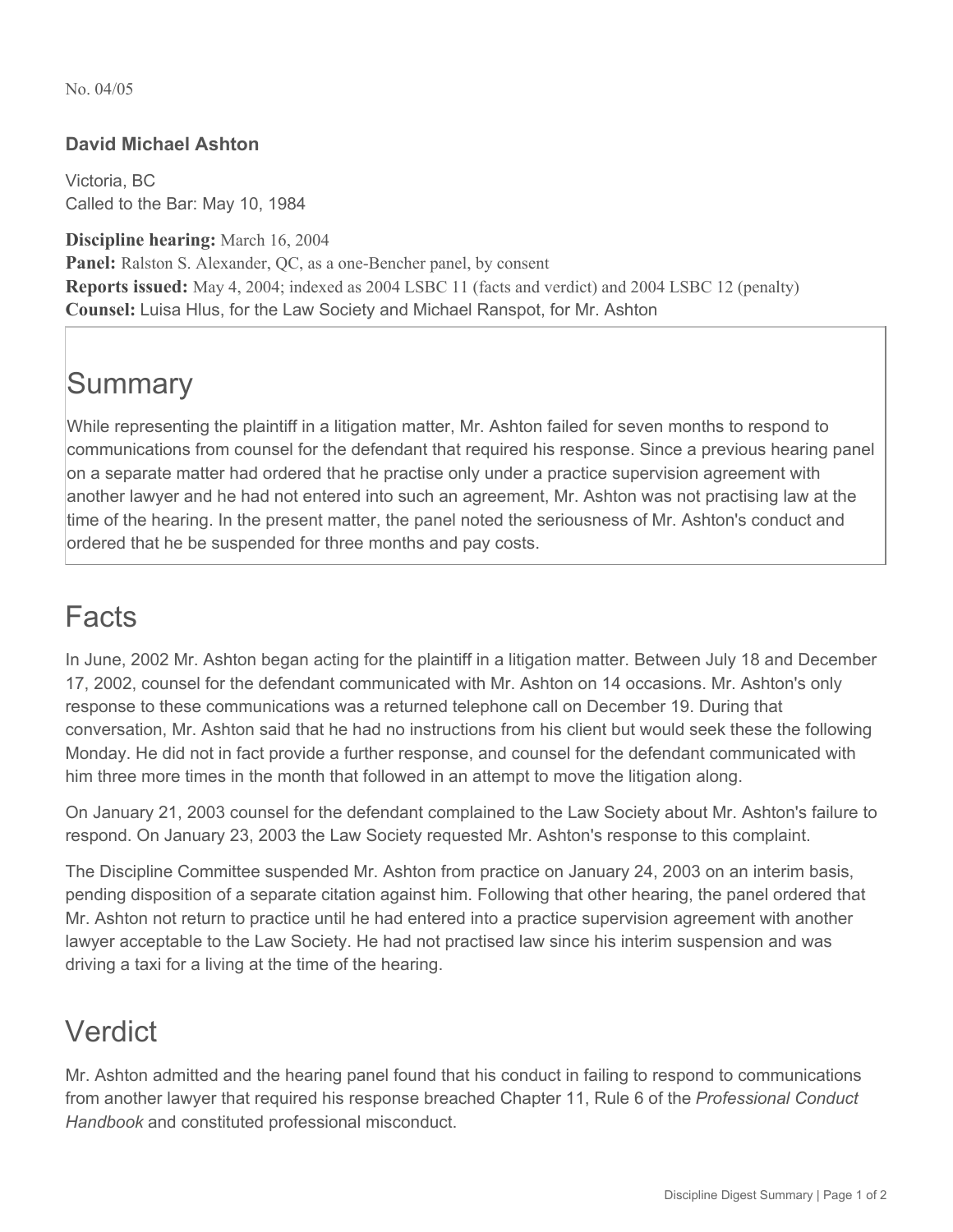No. 04/05

#### **David Michael Ashton**

Victoria, BC Called to the Bar: May 10, 1984

**Discipline hearing:** March 16, 2004 **Panel:** Ralston S. Alexander, QC, as a one-Bencher panel, by consent **Reports issued:** May 4, 2004; indexed as 2004 LSBC 11 (facts and verdict) and 2004 LSBC 12 (penalty) **Counsel:** Luisa Hlus, for the Law Society and Michael Ranspot, for Mr. Ashton

# **Summary**

While representing the plaintiff in a litigation matter, Mr. Ashton failed for seven months to respond to communications from counsel for the defendant that required his response. Since a previous hearing panel on a separate matter had ordered that he practise only under a practice supervision agreement with another lawyer and he had not entered into such an agreement, Mr. Ashton was not practising law at the time of the hearing. In the present matter, the panel noted the seriousness of Mr. Ashton's conduct and ordered that he be suspended for three months and pay costs.

### Facts

In June, 2002 Mr. Ashton began acting for the plaintiff in a litigation matter. Between July 18 and December 17, 2002, counsel for the defendant communicated with Mr. Ashton on 14 occasions. Mr. Ashton's only response to these communications was a returned telephone call on December 19. During that conversation, Mr. Ashton said that he had no instructions from his client but would seek these the following Monday. He did not in fact provide a further response, and counsel for the defendant communicated with him three more times in the month that followed in an attempt to move the litigation along.

On January 21, 2003 counsel for the defendant complained to the Law Society about Mr. Ashton's failure to respond. On January 23, 2003 the Law Society requested Mr. Ashton's response to this complaint.

The Discipline Committee suspended Mr. Ashton from practice on January 24, 2003 on an interim basis, pending disposition of a separate citation against him. Following that other hearing, the panel ordered that Mr. Ashton not return to practice until he had entered into a practice supervision agreement with another lawyer acceptable to the Law Society. He had not practised law since his interim suspension and was driving a taxi for a living at the time of the hearing.

### Verdict

Mr. Ashton admitted and the hearing panel found that his conduct in failing to respond to communications from another lawyer that required his response breached Chapter 11, Rule 6 of the *Professional Conduct Handbook* and constituted professional misconduct.